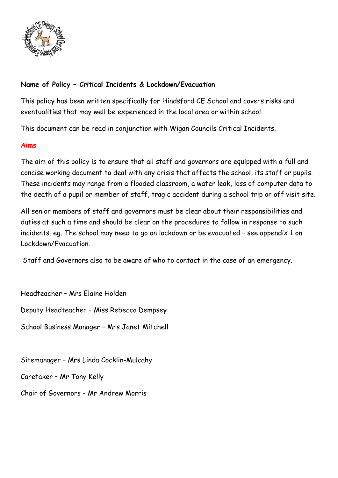

#### **Name of Policy – Critical Incidents & Lockdown/Evacuation**

This policy has been written specifically for Hindsford CE School and covers risks and eventualities that may well be experienced in the local area or within school.

This document can be read in conjunction with Wigan Councils Critical Incidents.

#### **Aims**

The aim of this policy is to ensure that all staff and governors are equipped with a full and concise working document to deal with any crisis that affects the school, its staff or pupils. These incidents may range from a flooded classroom, a water leak, loss of computer data to the death of a pupil or member of staff, tragic accident during a school trip or off visit site.

All senior members of staff and governors must be clear about their responsibilities and duties at such a time and should be clear on the procedures to follow in response to such incidents. eg. The school may need to go on lockdown or be evacuated – see appendix 1 on Lockdown/Evacuation.

Staff and Governors also to be aware of who to contact in the case of an emergency.

Headteacher – Mrs Elaine Holden Deputy Headteacher – Miss Rebecca Dempsey School Business Manager – Mrs Janet Mitchell

Sitemanager – Mrs Linda Cocklin-Mulcahy

Caretaker – Mr Tony Kelly

Chair of Governors – Mr Andrew Morris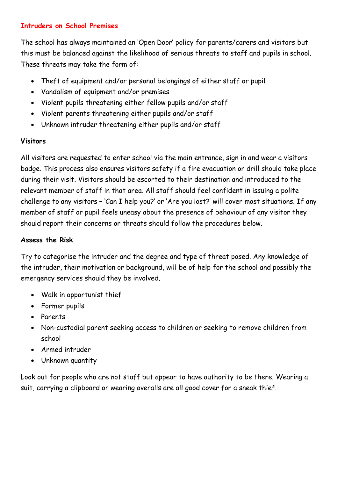#### **Intruders on School Premises**

The school has always maintained an 'Open Door' policy for parents/carers and visitors but this must be balanced against the likelihood of serious threats to staff and pupils in school. These threats may take the form of:

- Theft of equipment and/or personal belongings of either staff or pupil
- Vandalism of equipment and/or premises
- Violent pupils threatening either fellow pupils and/or staff
- Violent parents threatening either pupils and/or staff
- Unknown intruder threatening either pupils and/or staff

#### **Visitors**

All visitors are requested to enter school via the main entrance, sign in and wear a visitors badge. This process also ensures visitors safety if a fire evacuation or drill should take place during their visit. Visitors should be escorted to their destination and introduced to the relevant member of staff in that area. All staff should feel confident in issuing a polite challenge to any visitors – 'Can I help you?' or 'Are you lost?' will cover most situations. If any member of staff or pupil feels uneasy about the presence of behaviour of any visitor they should report their concerns or threats should follow the procedures below.

#### **Assess the Risk**

Try to categorise the intruder and the degree and type of threat posed. Any knowledge of the intruder, their motivation or background, will be of help for the school and possibly the emergency services should they be involved.

- Walk in opportunist thief
- Former pupils
- Parents
- Non-custodial parent seeking access to children or seeking to remove children from school
- Armed intruder
- Unknown quantity

Look out for people who are not staff but appear to have authority to be there. Wearing a suit, carrying a clipboard or wearing overalls are all good cover for a sneak thief.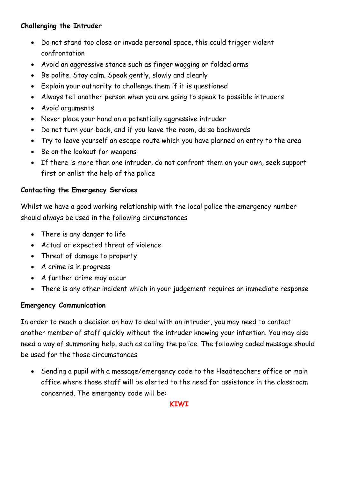### **Challenging the Intruder**

- Do not stand too close or invade personal space, this could trigger violent confrontation
- Avoid an aggressive stance such as finger wagging or folded arms
- Be polite. Stay calm. Speak gently, slowly and clearly
- Explain your authority to challenge them if it is questioned
- Always tell another person when you are going to speak to possible intruders
- Avoid arguments
- Never place your hand on a potentially aggressive intruder
- Do not turn your back, and if you leave the room, do so backwards
- Try to leave yourself an escape route which you have planned on entry to the area
- Be on the lookout for weapons
- If there is more than one intruder, do not confront them on your own, seek support first or enlist the help of the police

## **Contacting the Emergency Services**

Whilst we have a good working relationship with the local police the emergency number should always be used in the following circumstances

- There is any danger to life
- Actual or expected threat of violence
- Threat of damage to property
- A crime is in progress
- A further crime may occur
- There is any other incident which in your judgement requires an immediate response

## **Emergency Communication**

In order to reach a decision on how to deal with an intruder, you may need to contact another member of staff quickly without the intruder knowing your intention. You may also need a way of summoning help, such as calling the police. The following coded message should be used for the those circumstances

• Sending a pupil with a message/emergency code to the Headteachers office or main office where those staff will be alerted to the need for assistance in the classroom concerned. The emergency code will be:

**KIWI**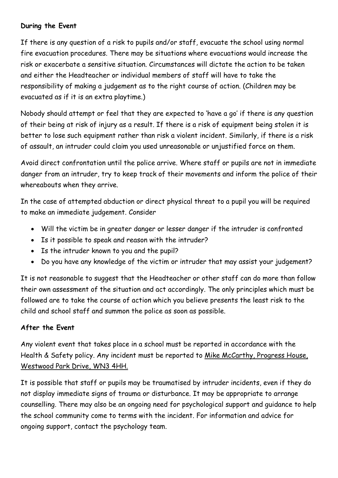#### **During the Event**

If there is any question of a risk to pupils and/or staff, evacuate the school using normal fire evacuation procedures. There may be situations where evacuations would increase the risk or exacerbate a sensitive situation. Circumstances will dictate the action to be taken and either the Headteacher or individual members of staff will have to take the responsibility of making a judgement as to the right course of action. (Children may be evacuated as if it is an extra playtime.)

Nobody should attempt or feel that they are expected to 'have a go' if there is any question of their being at risk of injury as a result. If there is a risk of equipment being stolen it is better to lose such equipment rather than risk a violent incident. Similarly, if there is a risk of assault, an intruder could claim you used unreasonable or unjustified force on them.

Avoid direct confrontation until the police arrive. Where staff or pupils are not in immediate danger from an intruder, try to keep track of their movements and inform the police of their whereabouts when they arrive.

In the case of attempted abduction or direct physical threat to a pupil you will be required to make an immediate judgement. Consider

- Will the victim be in greater danger or lesser danger if the intruder is confronted
- Is it possible to speak and reason with the intruder?
- Is the intruder known to you and the pupil?
- Do you have any knowledge of the victim or intruder that may assist your judgement?

It is not reasonable to suggest that the Headteacher or other staff can do more than follow their own assessment of the situation and act accordingly. The only principles which must be followed are to take the course of action which you believe presents the least risk to the child and school staff and summon the police as soon as possible.

## **After the Event**

Any violent event that takes place in a school must be reported in accordance with the Health & Safety policy. Any incident must be reported to Mike McCarthy, Progress House, Westwood Park Drive, WN3 4HH.

It is possible that staff or pupils may be traumatised by intruder incidents, even if they do not display immediate signs of trauma or disturbance. It may be appropriate to arrange counselling. There may also be an ongoing need for psychological support and guidance to help the school community come to terms with the incident. For information and advice for ongoing support, contact the psychology team.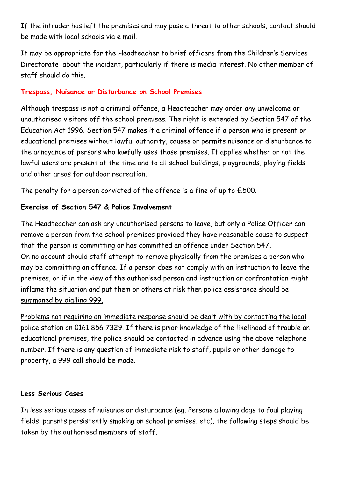If the intruder has left the premises and may pose a threat to other schools, contact should be made with local schools via e mail.

It may be appropriate for the Headteacher to brief officers from the Children's Services Directorate about the incident, particularly if there is media interest. No other member of staff should do this.

### **Trespass, Nuisance or Disturbance on School Premises**

Although trespass is not a criminal offence, a Headteacher may order any unwelcome or unauthorised visitors off the school premises. The right is extended by Section 547 of the Education Act 1996. Section 547 makes it a criminal offence if a person who is present on educational premises without lawful authority, causes or permits nuisance or disturbance to the annoyance of persons who lawfully uses those premises. It applies whether or not the lawful users are present at the time and to all school buildings, playgrounds, playing fields and other areas for outdoor recreation.

The penalty for a person convicted of the offence is a fine of up to £500.

# **Exercise of Section 547 & Police Involvement**

The Headteacher can ask any unauthorised persons to leave, but only a Police Officer can remove a person from the school premises provided they have reasonable cause to suspect that the person is committing or has committed an offence under Section 547. On no account should staff attempt to remove physically from the premises a person who may be committing an offence. If a person does not comply with an instruction to leave the premises, or if in the view of the authorised person and instruction or confrontation might inflame the situation and put them or others at risk then police assistance should be summoned by dialling 999.

Problems not requiring an immediate response should be dealt with by contacting the local police station on 0161 856 7329. If there is prior knowledge of the likelihood of trouble on educational premises, the police should be contacted in advance using the above telephone number. If there is any question of immediate risk to staff, pupils or other damage to property, a 999 call should be made.

## **Less Serious Cases**

In less serious cases of nuisance or disturbance (eg. Persons allowing dogs to foul playing fields, parents persistently smoking on school premises, etc), the following steps should be taken by the authorised members of staff.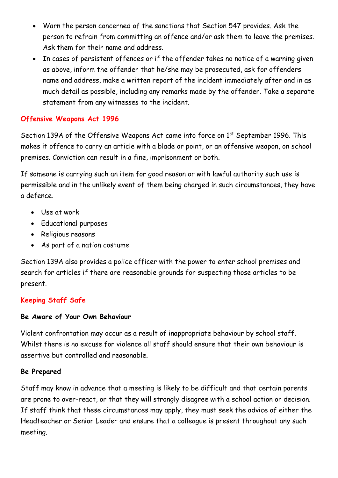- Warn the person concerned of the sanctions that Section 547 provides. Ask the person to refrain from committing an offence and/or ask them to leave the premises. Ask them for their name and address.
- In cases of persistent offences or if the offender takes no notice of a warning given as above, inform the offender that he/she may be prosecuted, ask for offenders name and address, make a written report of the incident immediately after and in as much detail as possible, including any remarks made by the offender. Take a separate statement from any witnesses to the incident.

## **Offensive Weapons Act 1996**

Section 139A of the Offensive Weapons Act came into force on 1<sup>st</sup> September 1996. This makes it offence to carry an article with a blade or point, or an offensive weapon, on school premises. Conviction can result in a fine, imprisonment or both.

If someone is carrying such an item for good reason or with lawful authority such use is permissible and in the unlikely event of them being charged in such circumstances, they have a defence.

- Use at work
- Educational purposes
- Religious reasons
- As part of a nation costume

Section 139A also provides a police officer with the power to enter school premises and search for articles if there are reasonable grounds for suspecting those articles to be present.

## **Keeping Staff Safe**

## **Be Aware of Your Own Behaviour**

Violent confrontation may occur as a result of inappropriate behaviour by school staff. Whilst there is no excuse for violence all staff should ensure that their own behaviour is assertive but controlled and reasonable.

## **Be Prepared**

Staff may know in advance that a meeting is likely to be difficult and that certain parents are prone to over-react, or that they will strongly disagree with a school action or decision. If staff think that these circumstances may apply, they must seek the advice of either the Headteacher or Senior Leader and ensure that a colleague is present throughout any such meeting.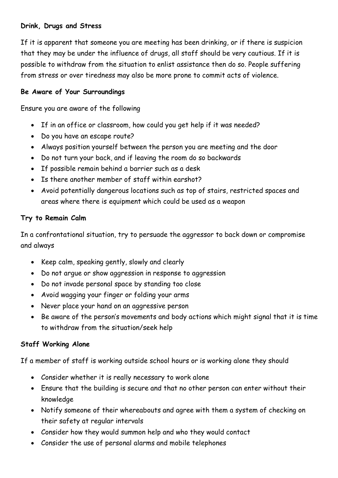### **Drink, Drugs and Stress**

If it is apparent that someone you are meeting has been drinking, or if there is suspicion that they may be under the influence of drugs, all staff should be very cautious. If it is possible to withdraw from the situation to enlist assistance then do so. People suffering from stress or over tiredness may also be more prone to commit acts of violence.

#### **Be Aware of Your Surroundings**

Ensure you are aware of the following

- If in an office or classroom, how could you get help if it was needed?
- Do you have an escape route?
- Always position yourself between the person you are meeting and the door
- Do not turn your back, and if leaving the room do so backwards
- If possible remain behind a barrier such as a desk
- Is there another member of staff within earshot?
- Avoid potentially dangerous locations such as top of stairs, restricted spaces and areas where there is equipment which could be used as a weapon

#### **Try to Remain Calm**

In a confrontational situation, try to persuade the aggressor to back down or compromise and always

- Keep calm, speaking gently, slowly and clearly
- Do not argue or show aggression in response to aggression
- Do not invade personal space by standing too close
- Avoid wagging your finger or folding your arms
- Never place your hand on an aggressive person
- Be aware of the person's movements and body actions which might signal that it is time to withdraw from the situation/seek help

#### **Staff Working Alone**

If a member of staff is working outside school hours or is working alone they should

- Consider whether it is really necessary to work alone
- Ensure that the building is secure and that no other person can enter without their knowledge
- Notify someone of their whereabouts and agree with them a system of checking on their safety at regular intervals
- Consider how they would summon help and who they would contact
- Consider the use of personal alarms and mobile telephones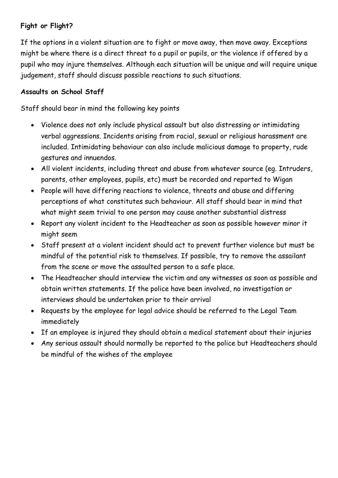# **Fight or Flight?**

If the options in a violent situation are to fight or move away, then move away. Exceptions might be where there is a direct threat to a pupil or pupils, or the violence if offered by a pupil who may injure themselves. Although each situation will be unique and will require unique judgement, staff should discuss possible reactions to such situations.

### **Assaults on School Staff**

Staff should bear in mind the following key points

- Violence does not only include physical assault but also distressing or intimidating verbal aggressions. Incidents arising from racial, sexual or religious harassment are included. Intimidating behaviour can also include malicious damage to property, rude gestures and innuendos.
- All violent incidents, including threat and abuse from whatever source (eg. Intruders, parents, other employees, pupils, etc) must be recorded and reported to Wigan
- People will have differing reactions to violence, threats and abuse and differing perceptions of what constitutes such behaviour. All staff should bear in mind that what might seem trivial to one person may cause another substantial distress
- Report any violent incident to the Headteacher as soon as possible however minor it might seem
- Staff present at a violent incident should act to prevent further violence but must be mindful of the potential risk to themselves. If possible, try to remove the assailant from the scene or move the assaulted person to a safe place.
- The Headteacher should interview the victim and any witnesses as soon as possible and obtain written statements. If the police have been involved, no investigation or interviews should be undertaken prior to their arrival
- Requests by the employee for legal advice should be referred to the Legal Team immediately
- If an employee is injured they should obtain a medical statement about their injuries
- Any serious assault should normally be reported to the police but Headteachers should be mindful of the wishes of the employee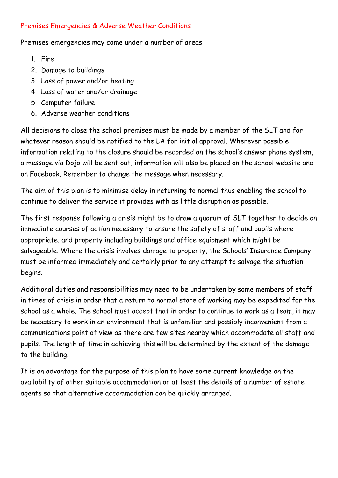#### Premises Emergencies & Adverse Weather Conditions

Premises emergencies may come under a number of areas

- 1. Fire
- 2. Damage to buildings
- 3. Loss of power and/or heating
- 4. Loss of water and/or drainage
- 5. Computer failure
- 6. Adverse weather conditions

All decisions to close the school premises must be made by a member of the SLT and for whatever reason should be notified to the LA for initial approval. Wherever possible information relating to the closure should be recorded on the school's answer phone system, a message via Dojo will be sent out, information will also be placed on the school website and on Facebook. Remember to change the message when necessary.

The aim of this plan is to minimise delay in returning to normal thus enabling the school to continue to deliver the service it provides with as little disruption as possible.

The first response following a crisis might be to draw a quorum of SLT together to decide on immediate courses of action necessary to ensure the safety of staff and pupils where appropriate, and property including buildings and office equipment which might be salvageable. Where the crisis involves damage to property, the Schools' Insurance Company must be informed immediately and certainly prior to any attempt to salvage the situation begins.

Additional duties and responsibilities may need to be undertaken by some members of staff in times of crisis in order that a return to normal state of working may be expedited for the school as a whole. The school must accept that in order to continue to work as a team, it may be necessary to work in an environment that is unfamiliar and possibly inconvenient from a communications point of view as there are few sites nearby which accommodate all staff and pupils. The length of time in achieving this will be determined by the extent of the damage to the building.

It is an advantage for the purpose of this plan to have some current knowledge on the availability of other suitable accommodation or at least the details of a number of estate agents so that alternative accommodation can be quickly arranged.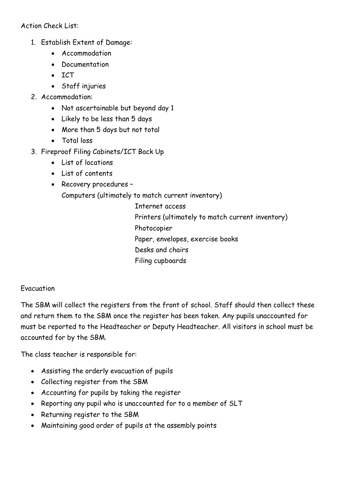Action Check List:

- 1. Establish Extent of Damage:
	- Accommodation
	- Documentation
	- ICT
	- Staff injuries
- 2. Accommodation:
	- Not ascertainable but beyond day 1
	- Likely to be less than 5 days
	- More than 5 days but not total
	- Total loss
- 3. Fireproof Filing Cabinets/ICT Back Up
	- List of locations
	- List of contents
	- Recovery procedures –

Computers (ultimately to match current inventory)

 Internet access Printers (ultimately to match current inventory) Photocopier Paper, envelopes, exercise books Desks and chairs Filing cupboards

## Evacuation

The SBM will collect the registers from the front of school. Staff should then collect these and return them to the SBM once the register has been taken. Any pupils unaccounted for must be reported to the Headteacher or Deputy Headteacher. All visitors in school must be accounted for by the SBM.

The class teacher is responsible for:

- Assisting the orderly evacuation of pupils
- Collecting register from the SBM
- Accounting for pupils by taking the register
- Reporting any pupil who is unaccounted for to a member of SLT
- Returning register to the SBM
- Maintaining good order of pupils at the assembly points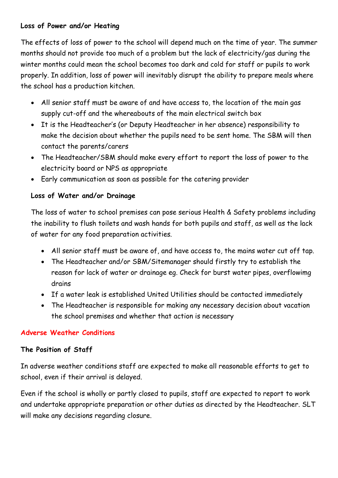## **Loss of Power and/or Heating**

The effects of loss of power to the school will depend much on the time of year. The summer months should not provide too much of a problem but the lack of electricity/gas during the winter months could mean the school becomes too dark and cold for staff or pupils to work properly. In addition, loss of power will inevitably disrupt the ability to prepare meals where the school has a production kitchen.

- All senior staff must be aware of and have access to, the location of the main gas supply cut-off and the whereabouts of the main electrical switch box
- It is the Headteacher's (or Deputy Headteacher in her absence) responsibility to make the decision about whether the pupils need to be sent home. The SBM will then contact the parents/carers
- The Headteacher/SBM should make every effort to report the loss of power to the electricity board or NPS as appropriate
- Early communication as soon as possible for the catering provider

## **Loss of Water and/or Drainage**

The loss of water to school premises can pose serious Health & Safety problems including the inability to flush toilets and wash hands for both pupils and staff, as well as the lack of water for any food preparation activities.

- All senior staff must be aware of, and have access to, the mains water cut off tap.
- The Headteacher and/or SBM/Sitemanager should firstly try to establish the reason for lack of water or drainage eg. Check for burst water pipes, overflowimg drains
- If a water leak is established United Utilities should be contacted immediately
- The Headteacher is responsible for making any necessary decision about vacation the school premises and whether that action is necessary

## **Adverse Weather Conditions**

## **The Position of Staff**

In adverse weather conditions staff are expected to make all reasonable efforts to get to school, even if their arrival is delayed.

Even if the school is wholly or partly closed to pupils, staff are expected to report to work and undertake appropriate preparation or other duties as directed by the Headteacher. SLT will make any decisions regarding closure.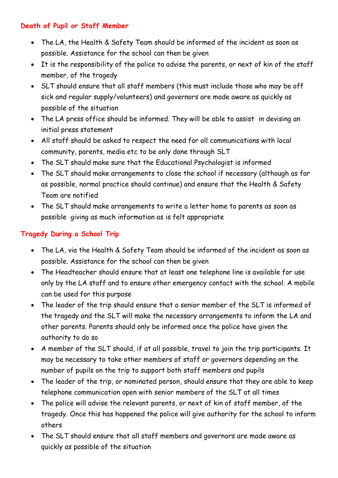## **Death of Pupil or Staff Member**

- The LA, the Health & Safety Team should be informed of the incident as soon as possible. Assistance for the school can then be given
- It is the responsibility of the police to advise the parents, or next of kin of the staff member, of the tragedy
- SLT should ensure that all staff members (this must include those who may be off sick and regular supply/volunteers) and governors are made aware as quickly as possible of the situation
- The LA press office should be informed. They will be able to assist in devising an initial press statement
- All staff should be asked to respect the need for all communications with local community, parents, media etc to be only done through SLT
- The SLT should make sure that the Educational Psychologist is informed
- The SLT should make arrangements to close the school if necessary (although as far as possible, normal practice should continue) and ensure that the Health & Safety Team are notified
- The SLT should make arrangements to write a letter home to parents as soon as possible giving as much information as is felt appropriate

# **Tragedy During a School Trip**

- The LA, via the Health & Safety Team should be informed of the incident as soon as possible. Assistance for the school can then be given
- The Headteacher should ensure that at least one telephone line is available for use only by the LA staff and to ensure other emergency contact with the school. A mobile can be used for this purpose
- The leader of the trip should ensure that a senior member of the SLT is informed of the tragedy and the SLT will make the necessary arrangements to inform the LA and other parents. Parents should only be informed once the police have given the authority to do so
- A member of the SLT should, if at all possible, travel to join the trip participants. It may be necessary to take other members of staff or governors depending on the number of pupils on the trip to support both staff members and pupils
- The leader of the trip, or nominated person, should ensure that they are able to keep telephone communication open with senior members of the SLT at all times
- The police will advise the relevant parents, or next of kin of staff member, of the tragedy. Once this has happened the police will give authority for the school to inform others
- The SLT should ensure that all staff members and governors are made aware as quickly as possible of the situation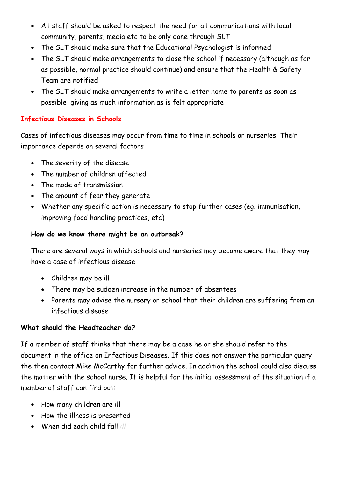- All staff should be asked to respect the need for all communications with local community, parents, media etc to be only done through SLT
- The SLT should make sure that the Educational Psychologist is informed
- The SLT should make arrangements to close the school if necessary (although as far as possible, normal practice should continue) and ensure that the Health & Safety Team are notified
- The SLT should make arrangements to write a letter home to parents as soon as possible giving as much information as is felt appropriate

## **Infectious Diseases in Schools**

Cases of infectious diseases may occur from time to time in schools or nurseries. Their importance depends on several factors

- The severity of the disease
- The number of children affected
- The mode of transmission
- The amount of fear they generate
- Whether any specific action is necessary to stop further cases (eg. immunisation, improving food handling practices, etc)

#### **How do we know there might be an outbreak?**

There are several ways in which schools and nurseries may become aware that they may have a case of infectious disease

- Children may be ill
- There may be sudden increase in the number of absentees
- Parents may advise the nursery or school that their children are suffering from an infectious disease

## **What should the Headteacher do?**

If a member of staff thinks that there may be a case he or she should refer to the document in the office on Infectious Diseases. If this does not answer the particular query the then contact Mike McCarthy for further advice. In addition the school could also discuss the matter with the school nurse. It is helpful for the initial assessment of the situation if a member of staff can find out:

- How many children are ill
- How the illness is presented
- When did each child fall ill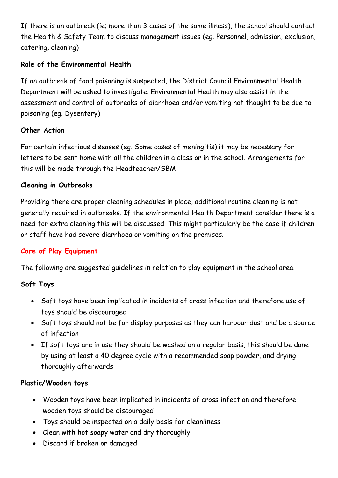If there is an outbreak (ie; more than 3 cases of the same illness), the school should contact the Health & Safety Team to discuss management issues (eg. Personnel, admission, exclusion, catering, cleaning)

## **Role of the Environmental Health**

If an outbreak of food poisoning is suspected, the District Council Environmental Health Department will be asked to investigate. Environmental Health may also assist in the assessment and control of outbreaks of diarrhoea and/or vomiting not thought to be due to poisoning (eg. Dysentery)

#### **Other Action**

For certain infectious diseases (eg. Some cases of meningitis) it may be necessary for letters to be sent home with all the children in a class or in the school. Arrangements for this will be made through the Headteacher/SBM

#### **Cleaning in Outbreaks**

Providing there are proper cleaning schedules in place, additional routine cleaning is not generally required in outbreaks. If the environmental Health Department consider there is a need for extra cleaning this will be discussed. This might particularly be the case if children or staff have had severe diarrhoea or vomiting on the premises.

## **Care of Play Equipment**

The following are suggested guidelines in relation to play equipment in the school area.

#### **Soft Toys**

- Soft toys have been implicated in incidents of cross infection and therefore use of toys should be discouraged
- Soft toys should not be for display purposes as they can harbour dust and be a source of infection
- If soft toys are in use they should be washed on a regular basis, this should be done by using at least a 40 degree cycle with a recommended soap powder, and drying thoroughly afterwards

## **Plastic/Wooden toys**

- Wooden toys have been implicated in incidents of cross infection and therefore wooden toys should be discouraged
- Toys should be inspected on a daily basis for cleanliness
- Clean with hot soapy water and dry thoroughly
- Discard if broken or damaged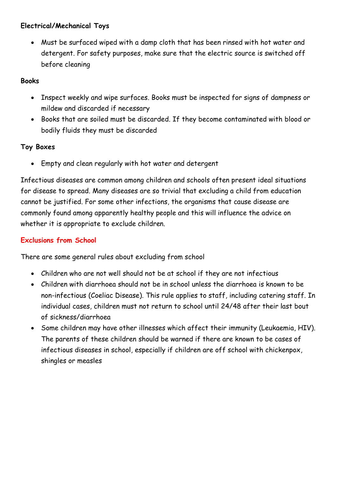### **Electrical/Mechanical Toys**

• Must be surfaced wiped with a damp cloth that has been rinsed with hot water and detergent. For safety purposes, make sure that the electric source is switched off before cleaning

## **Books**

- Inspect weekly and wipe surfaces. Books must be inspected for signs of dampness or mildew and discarded if necessary
- Books that are soiled must be discarded. If they become contaminated with blood or bodily fluids they must be discarded

## **Toy Boxes**

• Empty and clean regularly with hot water and detergent

Infectious diseases are common among children and schools often present ideal situations for disease to spread. Many diseases are so trivial that excluding a child from education cannot be justified. For some other infections, the organisms that cause disease are commonly found among apparently healthy people and this will influence the advice on whether it is appropriate to exclude children.

## **Exclusions from School**

There are some general rules about excluding from school

- Children who are not well should not be at school if they are not infectious
- Children with diarrhoea should not be in school unless the diarrhoea is known to be non-infectious (Coeliac Disease). This rule applies to staff, including catering staff. In individual cases, children must not return to school until 24/48 after their last bout of sickness/diarrhoea
- Some children may have other illnesses which affect their immunity (Leukaemia, HIV). The parents of these children should be warned if there are known to be cases of infectious diseases in school, especially if children are off school with chickenpox, shingles or measles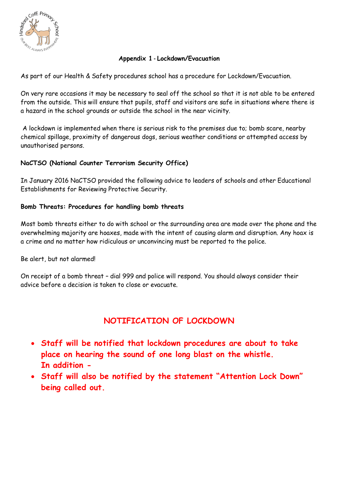

#### **Appendix 1 - Lockdown/Evacuation**

As part of our Health & Safety procedures school has a procedure for Lockdown/Evacuation.

On very rare occasions it may be necessary to seal off the school so that it is not able to be entered from the outside. This will ensure that pupils, staff and visitors are safe in situations where there is a hazard in the school grounds or outside the school in the near vicinity.

A lockdown is implemented when there is serious risk to the premises due to; bomb scare, nearby chemical spillage, proximity of dangerous dogs, serious weather conditions or attempted access by unauthorised persons.

#### **NaCTSO (National Counter Terrorism Security Office)**

In January 2016 NaCTSO provided the following advice to leaders of schools and other Educational Establishments for Reviewing Protective Security.

#### **Bomb Threats: Procedures for handling bomb threats**

Most bomb threats either to do with school or the surrounding area are made over the phone and the overwhelming majority are hoaxes, made with the intent of causing alarm and disruption. Any hoax is a crime and no matter how ridiculous or unconvincing must be reported to the police.

Be alert, but not alarmed!

On receipt of a bomb threat – dial 999 and police will respond. You should always consider their advice before a decision is taken to close or evacuate.

# **NOTIFICATION OF LOCKDOWN**

- **Staff will be notified that lockdown procedures are about to take place on hearing the sound of one long blast on the whistle. In addition -**
- **Staff will also be notified by the statement "Attention Lock Down" being called out.**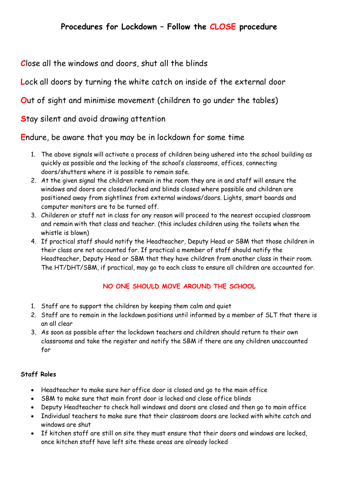**C**lose all the windows and doors, shut all the blinds

**L**ock all doors by turning the white catch on inside of the external door

**O**ut of sight and minimise movement (children to go under the tables)

**S**tay silent and avoid drawing attention

# **E**ndure, be aware that you may be in lockdown for some time

- 1. The above signals will activate a process of children being ushered into the school building as quickly as possible and the locking of the school's classrooms, offices, connecting doors/shutters where it is possible to remain safe.
- 2. At the given signal the children remain in the room they are in and staff will ensure the windows and doors are closed/locked and blinds closed where possible and children are positioned away from sightlines from external windows/doors. Lights, smart boards and computer monitors are to be turned off.
- 3. Childeren or staff not in class for any reason will proceed to the nearest occupied classroom and remain with that class and teacher. (this includes children using the toilets when the whistle is blown)
- 4. If practical staff should notify the Headteacher, Deputy Head or SBM that those children in their class are not accounted for. If practical a member of staff should notify the Headteacher, Deputy Head or SBM that they have children from another class in their room. The HT/DHT/SBM, if practical, may go to each class to ensure all children are accounted for.

## **NO ONE SHOULD MOVE AROUND THE SCHOOL**

- 1. Staff are to support the children by keeping them calm and quiet
- 2. Staff are to remain in the lockdown positions until informed by a member of SLT that there is an all clear
- 3. As soon as possible after the lockdown teachers and children should return to their own classrooms and take the register and notify the SBM if there are any children unaccounted for

#### **Staff Roles**

- Headteacher to make sure her office door is closed and go to the main office
- SBM to make sure that main front door is locked and close office blinds
- Deputy Headteacher to check hall windows and doors are closed and then go to main office
- Individual teachers to make sure that their classroom doors are locked with white catch and windows are shut
- If kitchen staff are still on site they must ensure that their doors and windows are locked, once kitchen staff have left site these areas are already locked